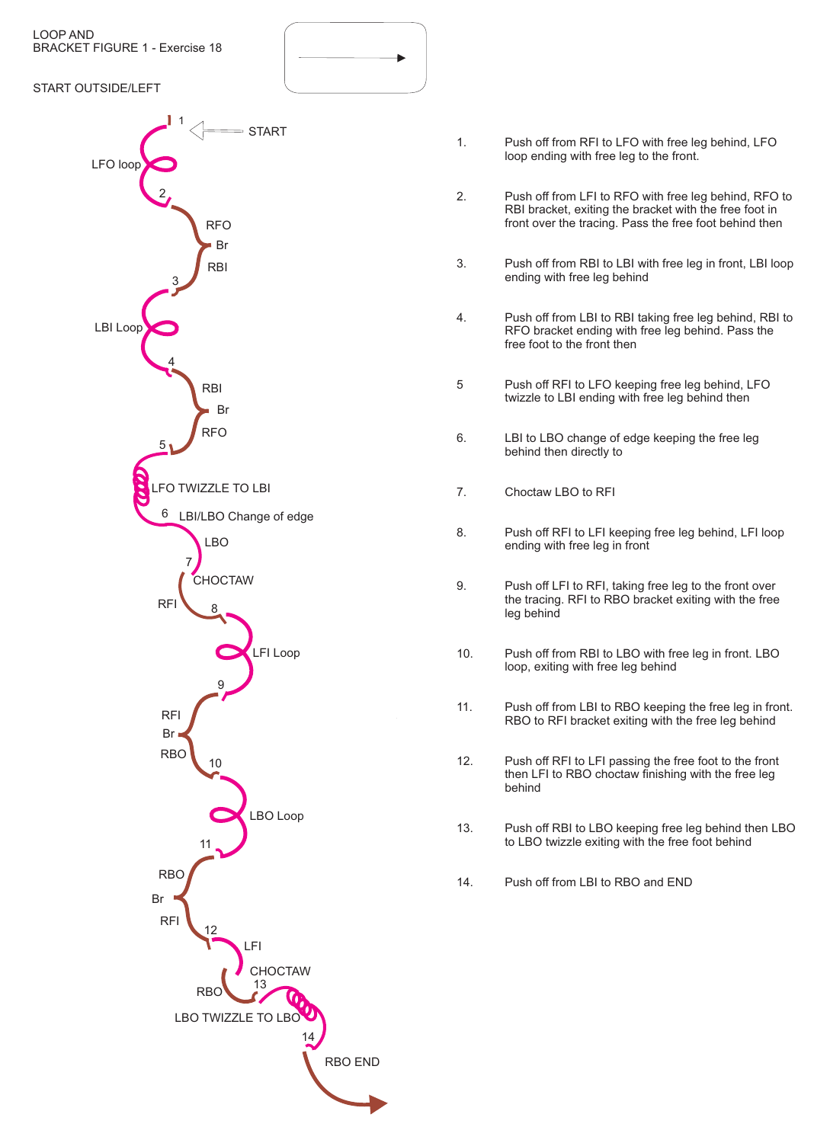LOOP AND BRACKET FIGURE 1 - Exercise 18

## START OUTSIDE/LEFT



- 1. Push off from RFI to LFO with free leg behind, LFO loop ending with free leg to the front.
- 2. Push off from LFI to RFO with free leg behind, RFO to RBI bracket, exiting the bracket with the free foot in front over the tracing. Pass the free foot behind then
- 3. Push off from RBI to LBI with free leg in front, LBI loop ending with free leg behind
- 4. Push off from LBI to RBI taking free leg behind, RBI to RFO bracket ending with free leg behind. Pass the free foot to the front then
- 5 Push off RFI to LFO keeping free leg behind, LFO twizzle to LBI ending with free leg behind then
- 6. LBI to LBO change of edge keeping the free leg behind then directly to
- 7. Choctaw LBO to RFI
- 8. Push off RFI to LFI keeping free leg behind, LFI loop ending with free leg in front
- 9. Push off LFI to RFI, taking free leg to the front over the tracing. RFI to RBO bracket exiting with the free leg behind
- 10. Push off from RBI to LBO with free leg in front. LBO loop, exiting with free leg behind
- 11. Push off from LBI to RBO keeping the free leg in front. RBO to RFI bracket exiting with the free leg behind
- 12. Push off RFI to LFI passing the free foot to the front then LFI to RBO choctaw finishing with the free leg behind
- 13. Push off RBI to LBO keeping free leg behind then LBO to LBO twizzle exiting with the free foot behind
- 14. Push off from LBI to RBO and END